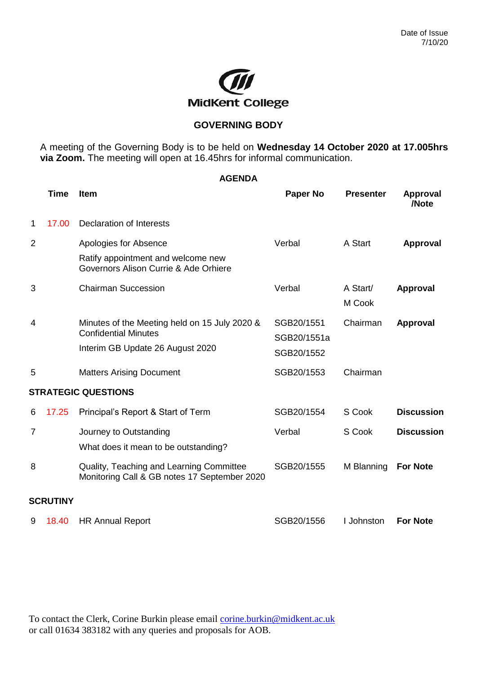

## **GOVERNING BODY**

A meeting of the Governing Body is to be held on **Wednesday 14 October 2020 at 17.005hrs via Zoom.** The meeting will open at 16.45hrs for informal communication.

|                | <b>AGENDA</b>   |                                                                                                                  |                                         |                    |                          |  |  |
|----------------|-----------------|------------------------------------------------------------------------------------------------------------------|-----------------------------------------|--------------------|--------------------------|--|--|
|                | <b>Time</b>     | Item                                                                                                             | <b>Paper No</b>                         | <b>Presenter</b>   | <b>Approval</b><br>/Note |  |  |
| 1              | 17.00           | <b>Declaration of Interests</b>                                                                                  |                                         |                    |                          |  |  |
| $\overline{2}$ |                 | Apologies for Absence<br>Ratify appointment and welcome new<br>Governors Alison Currie & Ade Orhiere             | Verbal                                  | A Start            | <b>Approval</b>          |  |  |
| 3              |                 | <b>Chairman Succession</b>                                                                                       | Verbal                                  | A Start/<br>M Cook | <b>Approval</b>          |  |  |
| 4              |                 | Minutes of the Meeting held on 15 July 2020 &<br><b>Confidential Minutes</b><br>Interim GB Update 26 August 2020 | SGB20/1551<br>SGB20/1551a<br>SGB20/1552 | Chairman           | <b>Approval</b>          |  |  |
| 5              |                 | <b>Matters Arising Document</b>                                                                                  | SGB20/1553                              | Chairman           |                          |  |  |
|                |                 | <b>STRATEGIC QUESTIONS</b>                                                                                       |                                         |                    |                          |  |  |
| 6              | 17.25           | Principal's Report & Start of Term                                                                               | SGB20/1554                              | S Cook             | <b>Discussion</b>        |  |  |
| 7              |                 | Journey to Outstanding<br>What does it mean to be outstanding?                                                   | Verbal                                  | S Cook             | <b>Discussion</b>        |  |  |
| 8              |                 | Quality, Teaching and Learning Committee<br>Monitoring Call & GB notes 17 September 2020                         | SGB20/1555                              | M Blanning         | <b>For Note</b>          |  |  |
|                | <b>SCRUTINY</b> |                                                                                                                  |                                         |                    |                          |  |  |
| 9              | 18.40           | <b>HR Annual Report</b>                                                                                          | SGB20/1556                              | I Johnston         | <b>For Note</b>          |  |  |

To contact the Clerk, Corine Burkin please email [corine.burkin@midkent.ac.uk](mailto:corine.burkin@midkent.ac.uk) or call 01634 383182 with any queries and proposals for AOB.